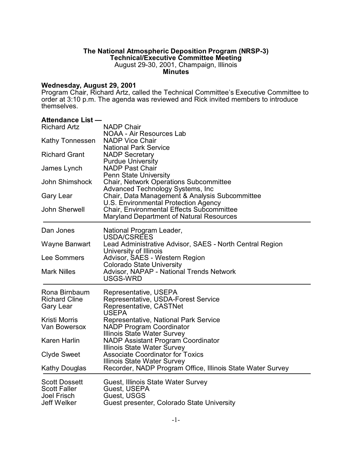### **The National Atmospheric Deposition Program (NRSP-3) Technical/Executive Committee Meeting**

August 29-30, 2001, Champaign, Illinois **Minutes**

### **Wednesday, August 29, 2001**

Program Chair, Richard Artz, called the Technical Committee's Executive Committee to order at 3:10 p.m. The agenda was reviewed and Rick invited members to introduce themselves.

### **Attendance List —**

| <b>Richard Artz</b>    | <b>NADP Chair</b>                                                                                   |
|------------------------|-----------------------------------------------------------------------------------------------------|
|                        | NOAA - Air Resources Lab                                                                            |
| <b>Kathy Tonnessen</b> | <b>NADP Vice Chair</b><br><b>National Park Service</b>                                              |
| <b>Richard Grant</b>   | <b>NADP Secretary</b>                                                                               |
|                        | <b>Purdue University</b>                                                                            |
| James Lynch            | <b>NADP Past Chair</b>                                                                              |
|                        | <b>Penn State University</b>                                                                        |
| John Shimshock         | <b>Chair, Network Operations Subcommittee</b>                                                       |
|                        | Advanced Technology Systems, Inc                                                                    |
| Gary Lear              | Chair, Data Management & Analysis Subcommittee                                                      |
|                        | U.S. Environmental Protection Agency                                                                |
| John Sherwell          | <b>Chair, Environmental Effects Subcommittee</b><br><b>Maryland Department of Natural Resources</b> |
|                        |                                                                                                     |
| Dan Jones              | National Program Leader,                                                                            |
|                        | USDA/CSREES                                                                                         |
| Wayne Banwart          | Lead Administrative Advisor, SAES - North Central Region                                            |
|                        | University of Illinois                                                                              |
| Lee Sommers            | Advisor, SAES - Western Region                                                                      |
| <b>Mark Nilles</b>     | <b>Colorado State University</b><br>Advisor, NAPAP - National Trends Network                        |
|                        | USGS-WRD                                                                                            |
|                        |                                                                                                     |
| Rona Birnbaum          | Representative, USEPA                                                                               |
| <b>Richard Cline</b>   | Representative, USDA-Forest Service                                                                 |
| Gary Lear              | Representative, CASTNet<br><b>USEPA</b>                                                             |
| <b>Kristi Morris</b>   | Representative, National Park Service                                                               |
| Van Bowersox           | <b>NADP Program Coordinator</b>                                                                     |
|                        | Illinois State Water Survey                                                                         |
| <b>Karen Harlin</b>    | <b>NADP Assistant Program Coordinator</b>                                                           |
|                        | Illinois State Water Survey                                                                         |
| <b>Clyde Sweet</b>     | <b>Associate Coordinator for Toxics</b>                                                             |
|                        | Illinois State Water Survey                                                                         |
| <b>Kathy Douglas</b>   | Recorder, NADP Program Office, Illinois State Water Survey                                          |
| <b>Scott Dossett</b>   | Guest, Illinois State Water Survey                                                                  |
| <b>Scott Faller</b>    | Guest, USEPA                                                                                        |
| <b>Joel Frisch</b>     | Guest, USGS                                                                                         |
| <b>Jeff Welker</b>     | Guest presenter, Colorado State University                                                          |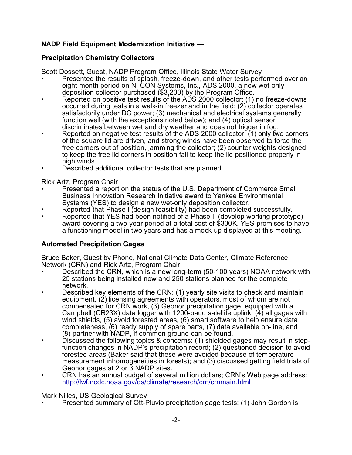# **NADP Field Equipment Modernization Initiative —**

# **Precipitation Chemistry Collectors**

Scott Dossett, Guest, NADP Program Office, Illinois State Water Survey

- Presented the results of splash, freeze-down, and other tests performed over an eight-month period on N–CON Systems, Inc., ADS 2000, a new wet-only deposition collector purchased (\$3,200) by the Program Office.
- Reported on positive test results of the ADS 2000 collector: (1) no freeze-downs occurred during tests in a walk-in freezer and in the field; (2) collector operates satisfactorily under DC power; (3) mechanical and electrical systems generally function well (with the exceptions noted below); and (4) optical sensor discriminates between wet and dry weather and does not trigger in fog.
- Reported on negative test results of the ADS 2000 collector: (1) only two corners of the square lid are driven, and strong winds have been observed to force the free corners out of position, jamming the collector; (2) counter weights designed to keep the free lid corners in position fail to keep the lid positioned properly in high winds.
- Described additional collector tests that are planned.

Rick Artz, Program Chair

- Presented a report on the status of the U.S. Department of Commerce Small Business Innovation Research Initiative award to Yankee Environmental Systems (YES) to design a new wet-only deposition collector.
- Reported that Phase I (design feasibility) had been completed successfully.
- Reported that YES had been notified of a Phase II (develop working prototype) award covering a two-year period at a total cost of \$300K. YES promises to have a functioning model in two years and has a mock-up displayed at this meeting.

# **Automated Precipitation Gages**

Bruce Baker, Guest by Phone, National Climate Data Center, Climate Reference Network (CRN) and Rick Artz, Program Chair

- Described the CRN, which is a new long-term (50-100 years) NOAA network with 25 stations being installed now and 250 stations planned for the complete network.
- Described key elements of the CRN: (1) yearly site visits to check and maintain equipment, (2) licensing agreements with operators, most of whom are not compensated for CRN work, (3) Geonor precipitation gage, equipped with a Campbell (CR23X) data logger with 1200-baud satellite uplink, (4) all gages with wind shields, (5) avoid forested areas, (6) smart software to help ensure data completeness, (6) ready supply of spare parts, (7) data available on-line, and (8) partner with NADP, if common ground can be found.
- Discussed the following topics & concerns: (1) shielded gages may result in stepfunction changes in NADP's precipitation record; (2) questioned decision to avoid forested areas (Baker said that these were avoided because of temperature measurement inhomogeneities in forests); and (3) discussed getting field trials of Geonor gages at 2 or 3 NADP sites.
- CRN has an annual budget of several million dollars; CRN's Web page address: <http://lwf.ncdc.noaa.gov/oa/climate/research/crn/crnmain.html>

Mark Nilles, US Geological Survey

• Presented summary of Ott-Pluvio precipitation gage tests: (1) John Gordon is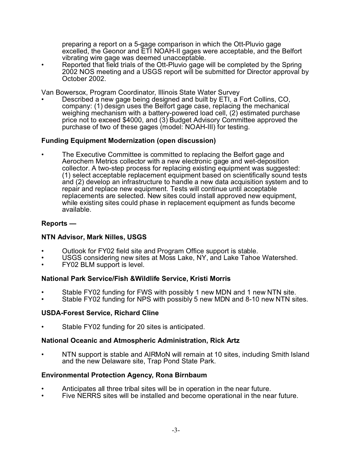preparing a report on a 5-gage comparison in which the Ott-Pluvio gage excelled, the Geonor and ETI NOAH-II gages were acceptable, and the Belfort vibrating wire gage was deemed unacceptable.

• Reported that field trials of the Ott-Pluvio gage will be completed by the Spring 2002 NOS meeting and a USGS report will be submitted for Director approval by October 2002.

Van Bowersox, Program Coordinator, Illinois State Water Survey

• Described a new gage being designed and built by ETI, a Fort Collins, CO, company: (1) design uses the Belfort gage case, replacing the mechanical weighing mechanism with a battery-powered load cell, (2) estimated purchase price not to exceed \$4000, and (3) Budget Advisory Committee approved the purchase of two of these gages (model: NOAH-III) for testing.

# **Funding Equipment Modernization (open discussion)**

• The Executive Committee is committed to replacing the Belfort gage and Aerochem Metrics collector with a new electronic gage and wet-deposition collector. A two-step process for replacing existing equipment was suggested: (1) select acceptable replacement equipment based on scientifically sound tests and (2) develop an infrastructure to handle a new data acquisition system and to repair and replace new equipment. Tests will continue until acceptable replacements are selected. New sites could install approved new equipment, while existing sites could phase in replacement equipment as funds become available.

# **Reports —**

# **NTN Advisor, Mark Nilles, USGS**

- Outlook for FY02 field site and Program Office support is stable.
- USGS considering new sites at Moss Lake, NY, and Lake Tahoe Watershed.
- FY02 BLM support is level.

# **National Park Service/Fish &Wildlife Service, Kristi Morris**

- Stable FY02 funding for FWS with possibly 1 new MDN and 1 new NTN site.
- Stable FY02 funding for NPS with possibly 5 new MDN and 8-10 new NTN sites.

# **USDA-Forest Service, Richard Cline**

Stable FY02 funding for 20 sites is anticipated.

# **National Oceanic and Atmospheric Administration, Rick Artz**

• NTN support is stable and AIRMoN will remain at 10 sites, including Smith Island and the new Delaware site, Trap Pond State Park.

# **Environmental Protection Agency, Rona Birnbaum**

- Anticipates all three tribal sites will be in operation in the near future.
- Five NERRS sites will be installed and become operational in the near future.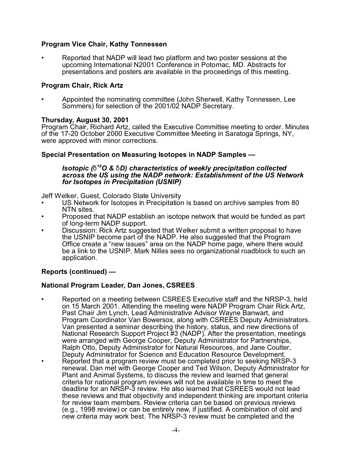# **Program Vice Chair, Kathy Tonnessen**

• Reported that NADP will lead two platform and two poster sessions at the upcoming International N2001 Conference in Potomac, MD. Abstracts for presentations and posters are available in the proceedings of this meeting.

### **Program Chair, Rick Artz**

• Appointed the nominating committee (John Sherwell, Kathy Tonnessen, Lee Sommers) for selection of the 2001/02 NADP Secretary.

#### **Thursday, August 30, 2001**

Program Chair, Richard Artz, called the Executive Committee meeting to order. Minutes of the 17-20 October 2000 Executive Committee Meeting in Saratoga Springs, NY, were approved with minor corrections.

### **Special Presentation on Measuring Isotopes in NADP Samples —**

#### *Isotopic (\* <sup>18</sup>O & \*D) characteristics of weekly precipitation collected across the US using the NADP network: Establishment of the US Network for Isotopes in Precipitation (USNIP)*

Jeff Welker, Guest, Colorado State University

- US Network for Isotopes in Precipitation is based on archive samples from 80 NTN sites.
- Proposed that NADP establish an isotope network that would be funded as part of long-term NADP support.
- Discussion: Rick Artz suggested that Welker submit a written proposal to have the USNIP become part of the NADP. He also suggested that the Program Office create a "new issues" area on the NADP home page, where there would be a link to the USNIP. Mark Nilles sees no organizational roadblock to such an application.

# **Reports (continued) —**

# **National Program Leader, Dan Jones, CSREES**

• Reported on a meeting between CSREES Executive staff and the NRSP-3, held on 15 March 2001. Attending the meeting were NADP Program Chair Rick Artz, Past Chair Jim Lynch, Lead Administrative Advisor Wayne Banwart, and Program Coordinator Van Bowersox, along with CSREES Deputy Administrators. Van presented a seminar describing the history, status, and new directions of National Research Support Project #3 (NADP). After the presentation, meetings were arranged with George Cooper, Deputy Administrator for Partnerships, Ralph Otto, Deputy Administrator for Natural Resources, and Jane Coulter, Deputy Administrator for Science and Education Resource Development. • Reported that a program review must be completed prior to seeking NRSP-3 renewal. Dan met with George Cooper and Ted Wilson, Deputy Administrator for Plant and Animal Systems, to discuss the review and learned that general criteria for national program reviews will not be available in time to meet the deadline for an NRSP-3 review. He also learned that CSREES would not lead these reviews and that objectivity and independent thinking are important criteria for review team members. Review criteria can be based on previous reviews (e.g., 1998 review) or can be entirely new, if justified. A combination of old and new criteria may work best. The NRSP-3 review must be completed and the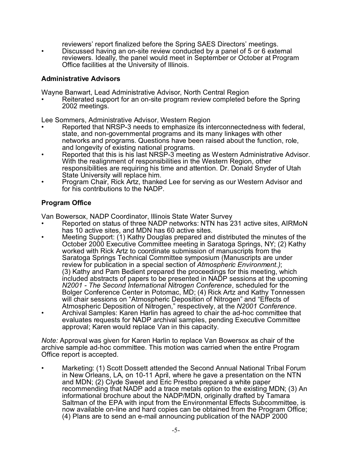reviewers' report finalized before the Spring SAES Directors' meetings. • Discussed having an on-site review conducted by a panel of 5 or 6 external reviewers. Ideally, the panel would meet in September or October at Program Office facilities at the University of Illinois.

# **Administrative Advisors**

Wayne Banwart, Lead Administrative Advisor, North Central Region

• Reiterated support for an on-site program review completed before the Spring 2002 meetings.

Lee Sommers, Administrative Advisor, Western Region

- Reported that NRSP-3 needs to emphasize its interconnectedness with federal, state, and non-governmental programs and its many linkages with other networks and programs. Questions have been raised about the function, role, and longevity of existing national programs.
- Reported that this is his last NRSP-3 meeting as Western Administrative Advisor. With the realignment of responsibilities in the Western Region, other responsibilities are requiring his time and attention. Dr. Donald Snyder of Utah State University will replace him.
- Program Chair, Rick Artz, thanked Lee for serving as our Western Advisor and for his contributions to the NADP.

# **Program Office**

Van Bowersox, NADP Coordinator, Illinois State Water Survey

- Reported on status of three NADP networks: NTN has 231 active sites, AIRMoN has 10 active sites, and MDN has 60 active sites.
- Meeting Support: (1) Kathy Douglas prepared and distributed the minutes of the October 2000 Executive Committee meeting in Saratoga Springs, NY; (2) Kathy worked with Rick Artz to coordinate submission of manuscripts from the Saratoga Springs Technical Committee symposium (Manuscripts are under review for publication in a special section of *Atmospheric Environment.)*; (3) Kathy and Pam Bedient prepared the proceedings for this meeting, which included abstracts of papers to be presented in NADP sessions at the upcoming *N2001 - The Second International Nitrogen Conference*, scheduled for the Bolger Conference Center in Potomac, MD; (4) Rick Artz and Kathy Tonnessen will chair sessions on "Atmospheric Deposition of Nitrogen" and "Effects of Atmospheric Deposition of Nitrogen," respectively, at the *N2001 Conference*. • Archival Samples: Karen Harlin has agreed to chair the ad-hoc committee that
- evaluates requests for NADP archival samples, pending Executive Committee approval; Karen would replace Van in this capacity.

*Note:* Approval was given for Karen Harlin to replace Van Bowersox as chair of the archive sample ad-hoc committee. This motion was carried when the entire Program Office report is accepted.

• Marketing: (1) Scott Dossett attended the Second Annual National Tribal Forum in New Orleans, LA, on 10-11 April, where he gave a presentation on the NTN and MDN; (2) Clyde Sweet and Eric Prestbo prepared a white paper recommending that NADP add a trace metals option to the existing MDN; (3) An informational brochure about the NADP/MDN, originally drafted by Tamara Saltman of the EPA with input from the Environmental Effects Subcommittee, is now available on-line and hard copies can be obtained from the Program Office; (4) Plans are to send an e-mail announcing publication of the NADP 2000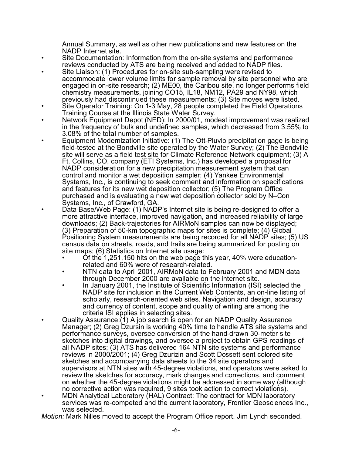Annual Summary, as well as other new publications and new features on the NADP Internet site.

- Site Documentation: Information from the on-site systems and performance reviews conducted by ATS are being received and added to NADP files.
- Site Liaison: (1) Procedures for on-site sub-sampling were revised to accommodate lower volume limits for sample removal by site personnel who are engaged in on-site research; (2) ME00, the Caribou site, no longer performs field chemistry measurements, joining CO15, IL18, NM12, PA29 and NY98, which previously had discontinued these measurements; (3) Site moves were listed.
- Site Operator Training: On 1-3 May, 28 people completed the Field Operations Training Course at the Illinois State Water Survey.
- Network Equipment Depot (NED): In 2000/01, modest improvement was realized in the frequency of bulk and undefined samples, which decreased from 3.55% to 3.08% of the total number of samples.
- Equipment Modernization Initiative: (1) The Ott-Pluvio precipitation gage is being field-tested at the Bondville site operated by the Water Survey; (2) The Bondville site will serve as a field test site for Climate Reference Network equipment; (3) A Ft. Collins, CO, company (ETI Systems, Inc.) has developed a proposal for NADP consideration for a new precipitation measurement system that can control and monitor a wet deposition sampler; (4) Yankee Environmental Systems, Inc., is continuing to seek comment and information on specifications and features for its new wet deposition collector; (5) The Program Office purchased and is evaluating a new wet deposition collector sold by N–Con Systems, Inc., of Crawford, GA.
- Data Base/Web Page: (1) NADP's Internet site is being re-designed to offer a more attractive interface, improved navigation, and increased reliability of large downloads; (2) Back-trajectories for AIRMoN samples can now be displayed; (3) Preparation of 50-km topographic maps for sites is complete; (4) Global Positioning System measurements are being recorded for all NADP sites; (5) US census data on streets, roads, and trails are being summarized for posting on site maps; (6) Statistics on Internet site usage:
	- Of the 1,251,150 hits on the web page this year, 40% were educationrelated and 60% were of research-related.
	- NTN data to April 2001, AIRMoN data to February 2001 and MDN data through December 2000 are available on the internet site.
	- In January 2001, the Institute of Scientific Information (ISI) selected the NADP site for inclusion in the Current Web Contents, an on-line listing of scholarly, research-oriented web sites. Navigation and design, accuracy and currency of content, scope and quality of writing are among the criteria ISI applies in selecting sites.
- Quality Assurance:(1) A job search is open for an NADP Quality Assurance Manager; (2) Greg Dzursin is working 40% time to handle ATS site systems and performance surveys, oversee conversion of the hand-drawn 30-meter site sketches into digital drawings, and oversee a project to obtain GPS readings of all NADP sites; (3) ATS has delivered 164 NTN site systems and performance reviews in 2000/2001; (4) Greg Dzurizin and Scott Dossett sent colored site sketches and accompanying data sheets to the 34 site operators and supervisors at NTN sites with 45-degree violations, and operators were asked to review the sketches for accuracy, mark changes and corrections, and comment on whether the 45-degree violations might be addressed in some way (although no corrective action was required, 9 sites took action to correct violations).
- MDN Analytical Laboratory (HAL) Contract: The contract for MDN laboratory services was re-competed and the current laboratory, Frontier Geosciences Inc., was selected.

*Motion:* Mark Nilles moved to accept the Program Office report. Jim Lynch seconded.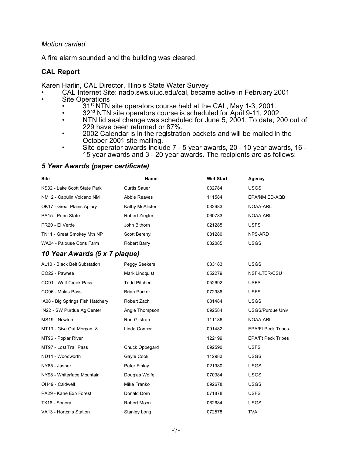#### *Motion carried.*

A fire alarm sounded and the building was cleared.

### **CAL Report**

Karen Harlin, CAL Director, Illinois State Water Survey

- CAL Internet Site: nadp.sws.uiuc.edu/cal, became active in February 2001
- Site Operations
	- $31^{\text{st}}$  NTN site operators course held at the CAL, May 1-3, 2001.
	- $32<sup>nd</sup>$  NTN site operators course is scheduled for April 9-11, 2002.<br>• NTN lid seal change was scheduled for June 5, 2001. To date, 20
	- NTN lid seal change was scheduled for June 5, 2001. To date, 200 out of 229 have been returned or 87%.
	- 2002 Calendar is in the registration packets and will be mailed in the October 2001 site mailing.
	- Site operator awards include 7 5 year awards, 20 10 year awards, 16 15 year awards and 3 - 20 year awards. The recipients are as follows:

# *5 Year Awards (paper certificate)*

| Site                             | Name                | <b>Wet Start</b> | Agency                    |
|----------------------------------|---------------------|------------------|---------------------------|
| KS32 - Lake Scott State Park     | <b>Curtis Sauer</b> | 032784           | <b>USGS</b>               |
| NM12 - Capulin Volcano NM        | <b>Abbie Reaves</b> | 111584           | EPA/NM ED-AQB             |
| OK17 - Great Plains Apiary       | Kathy McAlister     | 032983           | NOAA-ARL                  |
| PA15 - Penn State                | Robert Ziegler      | 060783           | NOAA-ARL                  |
| PR20 - El Verde                  | John Bithorn        | 021285           | <b>USFS</b>               |
| TN11 - Great Smokey Mtn NP       | Scott Berenyi       | 081280           | NPS-ARD                   |
| WA24 - Palouse Cons Farm         | <b>Robert Barry</b> | 082085           | USGS                      |
| 10 Year Awards (5 x 7 plaque)    |                     |                  |                           |
| AL10 - Black Belt Substation     | Peggy Seekers       | 083183           | <b>USGS</b>               |
| CO22 - Pawnee                    | Mark Lindquist      | 052279           | NSF-LTER/CSU              |
| CO91 - Wolf Creek Pass           | <b>Todd Pitcher</b> | 052692           | <b>USFS</b>               |
| CO96 - Molas Pass                | <b>Brian Parker</b> | 072986           | <b>USFS</b>               |
| IA08 - Big Springs Fish Hatchery | Robert Zach         | 081484           | <b>USGS</b>               |
| IN22 - SW Purdue Ag Center       | Angie Thompson      | 092584           | USGS/Purdue Univ          |
| MS19 - Newton                    | Ron Gilstrap        | 111186           | NOAA-ARL                  |
| MT13 - Give Out Morgan &         | Linda Connor        | 091482           | <b>EPA/Ft Peck Tribes</b> |
| MT96 - Poplar River              |                     | 122199           | <b>EPA/Ft Peck Tribes</b> |
| MT97 - Lost Trail Pass           | Chuck Oppegard      | 092590           | <b>USFS</b>               |
| ND11 - Woodworth                 | Gayle Cook          | 112983           | <b>USGS</b>               |
| NY65 - Jasper                    | Peter Finlay        | 021980           | <b>USGS</b>               |
| NY98 - Whiterface Mountain       | Douglas Wolfe       | 070384           | USGS                      |
| OH49 - Caldwell                  | Mike Franko         | 092678           | <b>USGS</b>               |
| PA29 - Kane Exp Forest           | Donald Dorn         | 071878           | <b>USFS</b>               |
| TX16 - Sonora                    | Robert Moen         | 062684           | <b>USGS</b>               |
| VA13 - Horton's Station          | <b>Stanley Long</b> | 072578           | <b>TVA</b>                |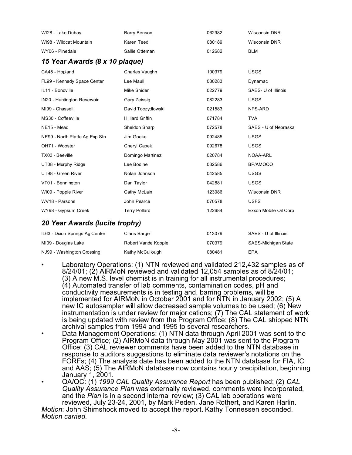| Barry Benson                   | 062982 | <b>Wisconsin DNR</b>  |  |  |  |  |
|--------------------------------|--------|-----------------------|--|--|--|--|
| Karen Teed                     | 080189 | <b>Wisconsin DNR</b>  |  |  |  |  |
| Sallie Otteman                 | 012682 | <b>BLM</b>            |  |  |  |  |
| 15 Year Awards (8 x 10 plaque) |        |                       |  |  |  |  |
| Charles Vaughn                 | 100379 | <b>USGS</b>           |  |  |  |  |
| Lee Maull                      | 080283 | Dynamac               |  |  |  |  |
| Mike Snider                    | 022779 | SAES- U of Illinois   |  |  |  |  |
| Gary Zeissig                   | 082283 | <b>USGS</b>           |  |  |  |  |
| David Toczydlowski             | 021583 | NPS-ARD               |  |  |  |  |
| <b>Hilliard Griffin</b>        | 071784 | <b>TVA</b>            |  |  |  |  |
| Sheldon Sharp                  | 072578 | SAES - U of Nebraska  |  |  |  |  |
| Jim Goeke                      | 092485 | <b>USGS</b>           |  |  |  |  |
| Cheryl Capek                   | 092678 | <b>USGS</b>           |  |  |  |  |
| Domingo Martinez               | 020784 | NOAA-ARL              |  |  |  |  |
| Lee Bodine                     | 032586 | BP/AMOCO              |  |  |  |  |
| Nolan Johnson                  | 042585 | <b>USGS</b>           |  |  |  |  |
| Dan Taylor                     | 042881 | <b>USGS</b>           |  |  |  |  |
| Cathy McLain                   | 123086 | <b>Wisconsin DNR</b>  |  |  |  |  |
| John Pearce                    | 070578 | <b>USFS</b>           |  |  |  |  |
| <b>Terry Pollard</b>           | 122684 | Exxon Mobile Oil Corp |  |  |  |  |
| 20 Year Awards (lucite trophy) |        |                       |  |  |  |  |
| Claris Barger                  | 013079 | SAES - U of Illinois  |  |  |  |  |
|                                |        |                       |  |  |  |  |

• Laboratory Operations: (1) NTN reviewed and validated 212,432 samples as of 8/24/01; (2) AIRMoN reviewed and validated 12,054 samples as of 8/24/01; (3) A new M.S. level chemist is in training for all instrumental procedures; (4) Automated transfer of lab comments, contamination codes, pH and conductivity measurements is in testing and, barring problems, will be implemented for AIRMoN in October 2001 and for NTN in January 2002; (5) A new IC autosampler will allow decreased sample volumes to be used; (6) New instrumentation is under review for major cations; (7) The CAL statement of work is being updated with review from the Program Office; (8) The CAL shipped NTN archival samples from 1994 and 1995 to several researchers.

MI09 - Douglas Lake **Robert Vande Kopple Nickel Constructs** SAES-Michigan State

NJ99 - Washington Crossing Kathy McCullough 080481 EPA

- Data Management Operations: (1) NTN data through April 2001 was sent to the Program Office; (2) AIRMoN data through May 2001 was sent to the Program Office: (3) CAL reviewer comments have been added to the NTN database in response to auditors suggestions to eliminate data reviewer's notations on the FORFs; (4) The analysis date has been added to the NTN database for FIA, IC and AAS; (5) The AIRMoN database now contains hourly precipitation, beginning January 1, 2001.
- QA/QC: (1) *1999 CAL Quality Assurance Report* has been published; (2) *CAL Quality Assurance Plan* was externally reviewed, comments were incorporated, and the *Plan* is in a second internal review; (3) CAL lab operations were reviewed, July 23-24, 2001, by Mark Peden, Jane Rothert, and Karen Harlin.

*Motion*: John Shimshock moved to accept the report. Kathy Tonnessen seconded. *Motion carried.*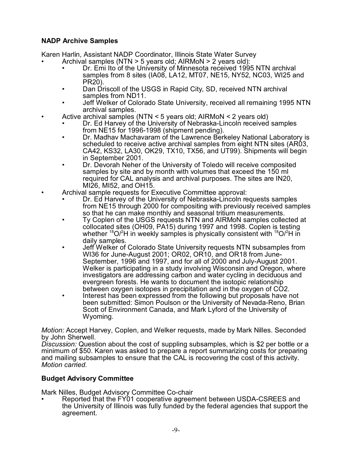# **NADP Archive Samples**

Karen Harlin, Assistant NADP Coordinator, Illinois State Water Survey

- Archival samples (NTN > 5 years old; AIRMoN > 2 years old):
	- Dr. Emi Ito of the University of Minnesota received 1995 NTN archival samples from 8 sites (IA08, LA12, MT07, NE15, NY52, NC03, WI25 and PR20).
	- Dan Driscoll of the USGS in Rapid City, SD, received NTN archival samples from ND11.
	- Jeff Welker of Colorado State University, received all remaining 1995 NTN archival samples.
- Active archival samples (NTN < 5 years old; AIRMoN < 2 years old)
	- Dr. Ed Harvey of the University of Nebraska-Lincoln received samples from NE15 for 1996-1998 (shipment pending).
	- Dr. Madhav Machavaram of the Lawrence Berkeley National Laboratory is scheduled to receive active archival samples from eight NTN sites (AR03, CA42, KS32, LA30, OK29, TX10, TX56, and UT99). Shipments will begin in September 2001.
	- Dr. Devorah Neher of the University of Toledo will receive composited samples by site and by month with volumes that exceed the 150 ml required for CAL analysis and archival purposes. The sites are IN20, MI26, MI52, and OH15.
- Archival sample requests for Executive Committee approval:
	- Dr. Ed Harvey of the University of Nebraska-Lincoln requests samples from NE15 through 2000 for compositing with previously received samples so that he can make monthly and seasonal tritium measurements.
	- Ty Coplen of the USGS requests NTN and AIRMoN samples collected at collocated sites (OH09, PA15) during 1997 and 1998. Coplen is testing whether  ${}^{18}O$ /<sup>2</sup>H in weekly samples is physically consistent with  ${}^{18}O$ /<sup>2</sup>H in daily samples.
	- Jeff Welker of Colorado State University requests NTN subsamples from WI36 for June-August 2001; OR02, OR10, and OR18 from June-September, 1996 and 1997, and for all of 2000 and July-August 2001. Welker is participating in a study involving Wisconsin and Oregon, where investigators are addressing carbon and water cycling in deciduous and evergreen forests. He wants to document the isotopic relationship between oxygen isotopes in precipitation and in the oxygen of CO2.
	- Interest has been expressed from the following but proposals have not been submitted: Simon Poulson or the University of Nevada-Reno, Brian Scott of Environment Canada, and Mark Lyford of the University of Wyoming.

*Motion:* Accept Harvey, Coplen, and Welker requests, made by Mark Nilles. Seconded by John Sherwell.

*Discussion:* Question about the cost of suppling subsamples, which is \$2 per bottle or a minimum of \$50. Karen was asked to prepare a report summarizing costs for preparing and mailing subsamples to ensure that the CAL is recovering the cost of this activity. *Motion carried.*

# **Budget Advisory Committee**

Mark Nilles, Budget Advisory Committee Co-chair

• Reported that the FY01 cooperative agreement between USDA-CSREES and the University of Illinois was fully funded by the federal agencies that support the agreement.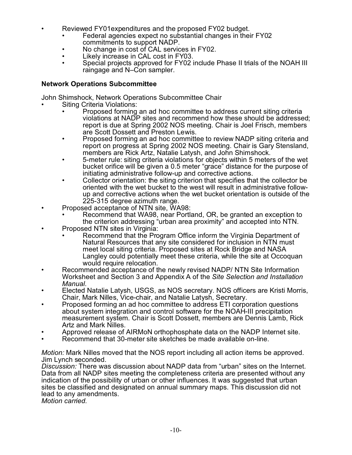- Reviewed FY01expenditures and the proposed FY02 budget.
	- Federal agencies expect no substantial changes in their FY02 commitments to support NADP.
	- No change in cost of CAL services in FY02.
	- Likely increase in CAL cost in FY03.
	- Special projects approved for FY02 include Phase II trials of the NOAH III raingage and N–Con sampler.

# **Network Operations Subcommittee**

John Shimshock, Network Operations Subcommittee Chair

- **Siting Criteria Violations:** 
	- Proposed forming an ad hoc committee to address current siting criteria violations at NADP sites and recommend how these should be addressed; report is due at Spring 2002 NOS meeting. Chair is Joel Frisch, members are Scott Dossett and Preston Lewis.
	- Proposed forming an ad hoc committee to review NADP siting criteria and report on progress at Spring 2002 NOS meeting. Chair is Gary Stensland, members are Rick Artz, Natalie Latysh, and John Shimshock.
	- 5-meter rule: siting criteria violations for objects within 5 meters of the wet bucket orifice will be given a 0.5 meter "grace" distance for the purpose of initiating administrative follow-up and corrective actions.
	- Collector orientation: the siting criterion that specifies that the collector be oriented with the wet bucket to the west will result in administrative followup and corrective actions when the wet bucket orientation is outside of the 225-315 degree azimuth range.
- Proposed acceptance of NTN site, WA98:
	- Recommend that WA98, near Portland, OR, be granted an exception to the criterion addressing "urban area proximity" and accepted into NTN.
- Proposed NTN sites in Virginia:
	- Recommend that the Program Office inform the Virginia Department of Natural Resources that any site considered for inclusion in NTN must meet local siting criteria. Proposed sites at Rock Bridge and NASA Langley could potentially meet these criteria, while the site at Occoquan would require relocation.
- Recommended acceptance of the newly revised NADP/ NTN Site Information Worksheet and Section 3 and Appendix A of the *Site Selection and Installation Manual*.
- Elected Natalie Latysh, USGS, as NOS secretary. NOS officers are Kristi Morris, Chair, Mark Nilles, Vice-chair, and Natalie Latysh, Secretary.
- Proposed forming an ad hoc committee to address ETI corporation questions about system integration and control software for the NOAH-III precipitation measurement system. Chair is Scott Dossett, members are Dennis Lamb, Rick Artz and Mark Nilles.
- Approved release of AIRMoN orthophosphate data on the NADP Internet site.
- Recommend that 30-meter site sketches be made available on-line.

*Motion:* Mark Nilles moved that the NOS report including all action items be approved. Jim Lynch seconded.

*Discussion:* There was discussion about NADP data from "urban" sites on the Internet. Data from all NADP sites meeting the completeness criteria are presented without any indication of the possibility of urban or other influences. It was suggested that urban sites be classified and designated on annual summary maps. This discussion did not lead to any amendments.

*Motion carried.*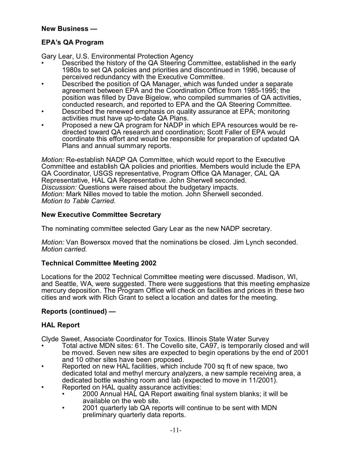### **New Business —**

# **EPA's QA Program**

Gary Lear, U.S. Environmental Protection Agency

- Described the history of the QA Steering Committee, established in the early 1980s to set QA policies and priorities and discontinued in 1996, because of perceived redundancy with the Executive Committee.
- Described the position of QA Manager, which was funded under a separate agreement between EPA and the Coordination Office from 1985-1995; the position was filled by Dave Bigelow, who compiled summaries of QA activities, conducted research, and reported to EPA and the QA Steering Committee.
- Described the renewed emphasis on quality assurance at EPA; monitoring activities must have up-to-date QA Plans.
- Proposed a new QA program for NADP in which EPA resources would be redirected toward QA research and coordination; Scott Faller of EPA would coordinate this effort and would be responsible for preparation of updated QA Plans and annual summary reports.

*Motion:* Re-establish NADP QA Committee, which would report to the Executive Committee and establish QA policies and priorities. Members would include the EPA QA Coordinator, USGS representative, Program Office QA Manager, CAL QA Representative, HAL QA Representative. John Sherwell seconded. *Discussion:* Questions were raised about the budgetary impacts. *Motion:* Mark Nilles moved to table the motion. John Sherwell seconded. *Motion to Table Carried.*

# **New Executive Committee Secretary**

The nominating committee selected Gary Lear as the new NADP secretary.

*Motion:* Van Bowersox moved that the nominations be closed. Jim Lynch seconded. *Motion carried.*

# **Technical Committee Meeting 2002**

Locations for the 2002 Technical Committee meeting were discussed. Madison, WI, and Seattle, WA, were suggested. There were suggestions that this meeting emphasize mercury deposition. The Program Office will check on facilities and prices in these two cities and work with Rich Grant to select a location and dates for the meeting.

# **Reports (continued) —**

# **HAL Report**

Clyde Sweet, Associate Coordinator for Toxics. Illinois State Water Survey

- Total active MDN sites: 61. The Covello site, CA97, is temporarily closed and will be moved. Seven new sites are expected to begin operations by the end of 2001 and 10 other sites have been proposed.
- Reported on new HAL facilities, which include 700 sq ft of new space, two dedicated total and methyl mercury analyzers, a new sample receiving area, a dedicated bottle washing room and lab (expected to move in 11/2001).
- Reported on HAL quality assurance activities:
	- 2000 Annual HAL QA Report awaiting final system blanks; it will be available on the web site.
	- 2001 quarterly lab QA reports will continue to be sent with MDN preliminary quarterly data reports.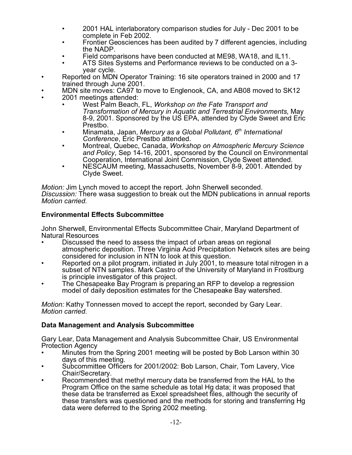- 2001 HAL interlaboratory comparison studies for July Dec 2001 to be complete in Feb 2002.
- Frontier Geosciences has been audited by 7 different agencies, including the NADP.
- Field comparisons have been conducted at ME98, WA18, and IL11.
- ATS Sites Systems and Performance reviews to be conducted on a 3 year cycle.
- Reported on MDN Operator Training: 16 site operators trained in 2000 and 17 trained through June 2001.
- MDN site moves: CA97 to move to Englenook, CA, and AB08 moved to SK12
- 2001 meetings attended:
	- West Palm Beach, FL, *Workshop on the Fate Transport and Transformation of Mercury in Aquatic and Terrestrial Environments*, May 8-9, 2001. Sponsored by the US EPA, attended by Clyde Sweet and Eric Prestbo.
	- Minamata, Japan, *Mercury as a Global Pollutant, 6th International Conference*, Eric Prestbo attended.
	- Montreal, Quebec, Canada, *Workshop on Atmospheric Mercury Science and Policy*, Sep 14-16, 2001, sponsored by the Council on Environmental Cooperation, International Joint Commission, Clyde Sweet attended.
	- NESCAUM meeting, Massachusetts, November 8-9, 2001. Attended by Clyde Sweet.

*Motion:* Jim Lynch moved to accept the report. John Sherwell seconded.

*Discussion:* There wasa suggestion to break out the MDN publications in annual reports *Motion carried.*

# **Environmental Effects Subcommittee**

John Sherwell, Environmental Effects Subcommittee Chair, Maryland Department of Natural Resources

- Discussed the need to assess the impact of urban areas on regional atmospheric deposition. Three Virginia Acid Precipitation Network sites are being considered for inclusion in NTN to look at this question.
- Reported on a pilot program, initiated in July 2001, to measure total nitrogen in a subset of NTN samples. Mark Castro of the University of Maryland in Frostburg is principle investigator of this project.
- The Chesapeake Bay Program is preparing an RFP to develop a regression model of daily deposition estimates for the Chesapeake Bay watershed.

*Motion:* Kathy Tonnessen moved to accept the report, seconded by Gary Lear. *Motion carried.*

# **Data Management and Analysis Subcommittee**

Gary Lear, Data Management and Analysis Subcommittee Chair, US Environmental Protection Agency

- Minutes from the Spring 2001 meeting will be posted by Bob Larson within 30 days of this meeting.
- Subcommittee Officers for 2001/2002: Bob Larson, Chair, Tom Lavery, Vice Chair/Secretary.
- Recommended that methyl mercury data be transferred from the HAL to the Program Office on the same schedule as total Hg data; it was proposed that these data be transferred as Excel spreadsheet files, although the security of these transfers was questioned and the methods for storing and transferring Hg data were deferred to the Spring 2002 meeting.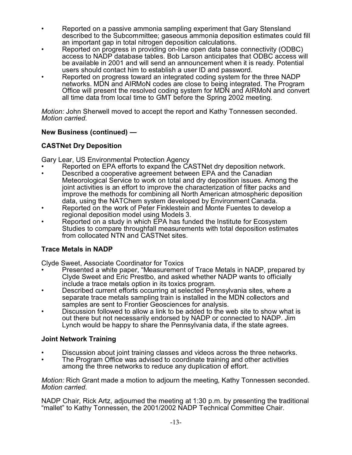- Reported on a passive ammonia sampling experiment that Gary Stensland described to the Subcommittee; gaseous ammonia deposition estimates could fill an important gap in total nitrogen deposition calculations.
- Reported on progress in providing on-line open data base connectivity (ODBC) access to NADP database tables. Bob Larson anticipates that ODBC access will be available in 2001 and will send an announcement when it is ready. Potential users should contact him to establish a user ID and password.
- Reported on progress toward an integrated coding system for the three NADP networks. MDN and AIRMoN codes are close to being integrated. The Program Office will present the resolved coding system for MDN and AIRMoN and convert all time data from local time to GMT before the Spring 2002 meeting.

*Motion:* John Sherwell moved to accept the report and Kathy Tonnessen seconded. *Motion carried.*

# **New Business (continued) —**

# **CASTNet Dry Deposition**

Gary Lear, US Environmental Protection Agency

- Reported on EPA efforts to expand the CASTNet dry deposition network.
- Described a cooperative agreement between EPA and the Canadian Meteorological Service to work on total and dry deposition issues. Among the joint activities is an effort to improve the characterization of filter packs and improve the methods for combining all North American atmospheric deposition data, using the NATChem system developed by Environment Canada.
- Reported on the work of Peter Finklestein and Monte Fuentes to develop a regional deposition model using Models 3.
- Reported on a study in which EPA has funded the Institute for Ecosystem Studies to compare throughfall measurements with total deposition estimates from collocated NTN and CASTNet sites.

# **Trace Metals in NADP**

Clyde Sweet, Associate Coordinator for Toxics

- Presented a white paper, "Measurement of Trace Metals in NADP, prepared by Clyde Sweet and Eric Prestbo, and asked whether NADP wants to officially include a trace metals option in its toxics program.
- Described current efforts occurring at selected Pennsylvania sites, where a separate trace metals sampling train is installed in the MDN collectors and samples are sent to Frontier Geosciences for analysis.
- Discussion followed to allow a link to be added to the web site to show what is out there but not necessarily endorsed by NADP or connected to NADP. Jim Lynch would be happy to share the Pennsylvania data, if the state agrees.

# **Joint Network Training**

- Discussion about joint training classes and videos across the three networks.
- The Program Office was advised to coordinate training and other activities among the three networks to reduce any duplication of effort.

*Motion:* Rich Grant made a motion to adjourn the meeting, Kathy Tonnessen seconded. *Motion carried.*

NADP Chair, Rick Artz, adjourned the meeting at 1:30 p.m. by presenting the traditional "mallet" to Kathy Tonnessen, the 2001/2002 NADP Technical Committee Chair.